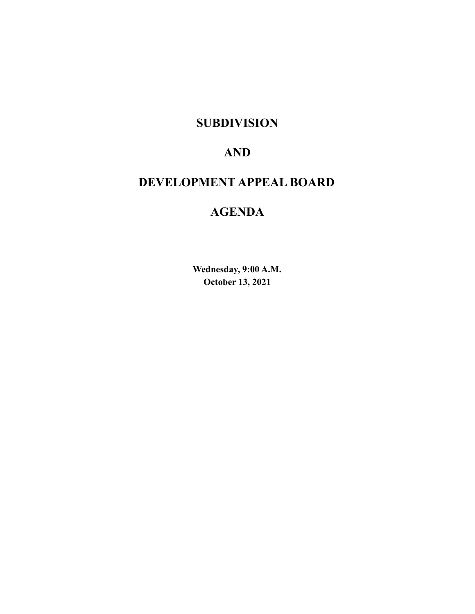## **SUBDIVISION**

## **AND**

# **DEVELOPMENT APPEAL BOARD**

# **AGENDA**

**Wednesday, 9:00 A.M. October 13, 2021**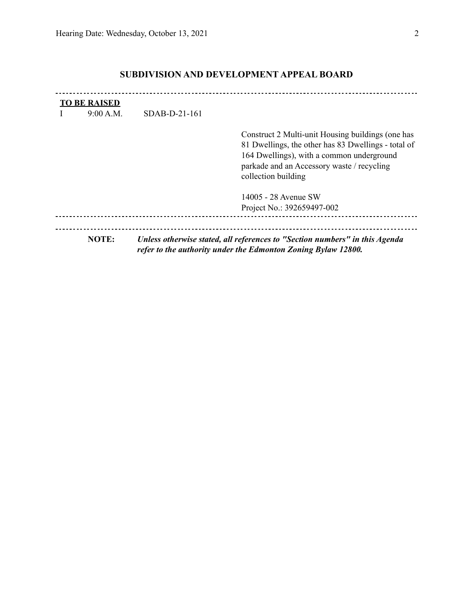$\mathbf{r}$ 

|   | <b>TO BE RAISED</b> |                 |                                                                                                                                                                                                                            |  |  |  |  |
|---|---------------------|-----------------|----------------------------------------------------------------------------------------------------------------------------------------------------------------------------------------------------------------------------|--|--|--|--|
| L | 9:00 A.M.           | $SDAB-D-21-161$ |                                                                                                                                                                                                                            |  |  |  |  |
|   |                     |                 | Construct 2 Multi-unit Housing buildings (one has<br>81 Dwellings, the other has 83 Dwellings - total of<br>164 Dwellings), with a common underground<br>parkade and an Accessory waste / recycling<br>collection building |  |  |  |  |
|   |                     |                 | 14005 - 28 Avenue SW                                                                                                                                                                                                       |  |  |  |  |

### **SUBDIVISION AND DEVELOPMENT APPEAL BOARD**

Project No.: 392659497-002 **NOTE:** *Unless otherwise stated, all references to "Section numbers" in this Agenda refer to the authority under the Edmonton Zoning Bylaw 12800.*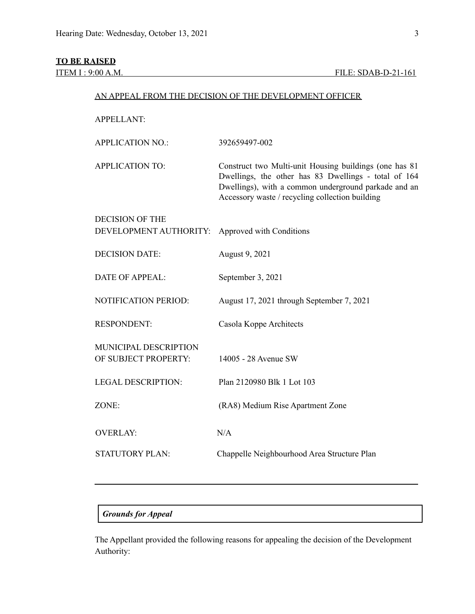### **TO BE RAISED**

| <b>APPELLANT:</b>                                    |                                                                                                                                                                                                                           |  |  |
|------------------------------------------------------|---------------------------------------------------------------------------------------------------------------------------------------------------------------------------------------------------------------------------|--|--|
| <b>APPLICATION NO.:</b>                              | 392659497-002                                                                                                                                                                                                             |  |  |
| <b>APPLICATION TO:</b>                               | Construct two Multi-unit Housing buildings (one has 81<br>Dwellings, the other has 83 Dwellings - total of 164<br>Dwellings), with a common underground parkade and an<br>Accessory waste / recycling collection building |  |  |
| <b>DECISION OF THE</b><br>DEVELOPMENT AUTHORITY:     | Approved with Conditions                                                                                                                                                                                                  |  |  |
| <b>DECISION DATE:</b>                                | August 9, 2021                                                                                                                                                                                                            |  |  |
| <b>DATE OF APPEAL:</b>                               | September 3, 2021                                                                                                                                                                                                         |  |  |
| <b>NOTIFICATION PERIOD:</b>                          | August 17, 2021 through September 7, 2021                                                                                                                                                                                 |  |  |
| <b>RESPONDENT:</b>                                   | Casola Koppe Architects                                                                                                                                                                                                   |  |  |
| <b>MUNICIPAL DESCRIPTION</b><br>OF SUBJECT PROPERTY: | 14005 - 28 Avenue SW                                                                                                                                                                                                      |  |  |
| <b>LEGAL DESCRIPTION:</b>                            | Plan 2120980 Blk 1 Lot 103                                                                                                                                                                                                |  |  |
| ZONE:                                                | (RA8) Medium Rise Apartment Zone                                                                                                                                                                                          |  |  |
| <b>OVERLAY:</b>                                      | N/A                                                                                                                                                                                                                       |  |  |
| <b>STATUTORY PLAN:</b>                               | Chappelle Neighbourhood Area Structure Plan                                                                                                                                                                               |  |  |
|                                                      |                                                                                                                                                                                                                           |  |  |

AN APPEAL FROM THE DECISION OF THE DEVELOPMENT OFFICER

### *Grounds for Appeal*

The Appellant provided the following reasons for appealing the decision of the Development Authority: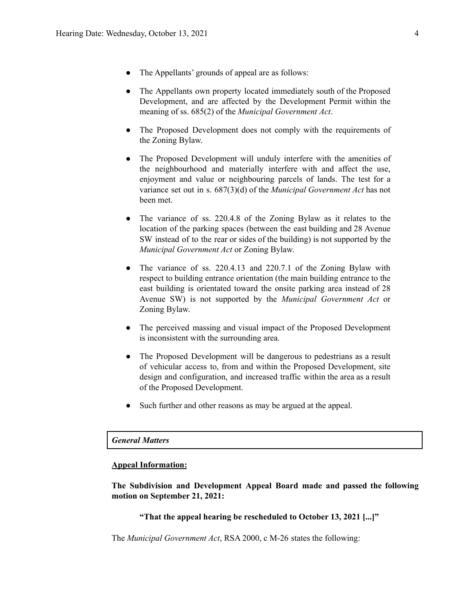- The Appellants' grounds of appeal are as follows:
- The Appellants own property located immediately south of the Proposed Development, and are affected by the Development Permit within the meaning of ss. 685(2) of the *Municipal Government Act*.
- The Proposed Development does not comply with the requirements of the Zoning Bylaw.
- The Proposed Development will unduly interfere with the amenities of the neighbourhood and materially interfere with and affect the use, enjoyment and value or neighbouring parcels of lands. The test for a variance set out in s. 687(3)(d) of the *Municipal Government Act* has not been met.
- The variance of ss. 220.4.8 of the Zoning Bylaw as it relates to the location of the parking spaces (between the east building and 28 Avenue SW instead of to the rear or sides of the building) is not supported by the *Municipal Government Act* or Zoning Bylaw.
- The variance of ss. 220.4.13 and 220.7.1 of the Zoning Bylaw with respect to building entrance orientation (the main building entrance to the east building is orientated toward the onsite parking area instead of 28 Avenue SW) is not supported by the *Municipal Government Act* or Zoning Bylaw.
- The perceived massing and visual impact of the Proposed Development is inconsistent with the surrounding area.
- The Proposed Development will be dangerous to pedestrians as a result of vehicular access to, from and within the Proposed Development, site design and configuration, and increased traffic within the area as a result of the Proposed Development.
- Such further and other reasons as may be argued at the appeal.

#### *General Matters*

#### **Appeal Information:**

**The Subdivision and Development Appeal Board made and passed the following motion on September 21, 2021:**

#### **"That the appeal hearing be rescheduled to October 13, 2021 [...]"**

The *Municipal Government Act*, RSA 2000, c M-26 states the following: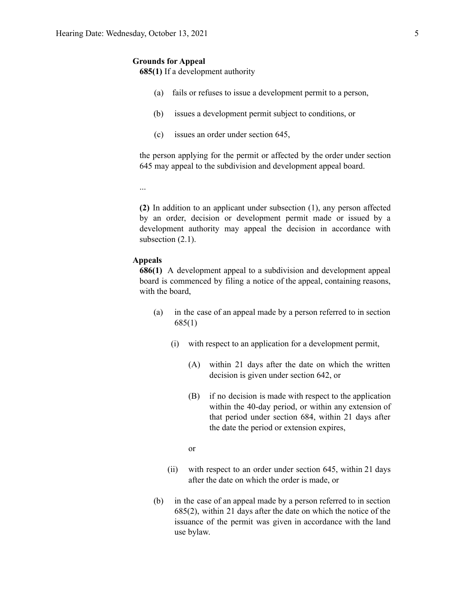#### **Grounds for Appeal**

**685(1)** If a development authority

- (a) fails or refuses to issue a development permit to a person,
- (b) issues a development permit subject to conditions, or
- (c) issues an order under section 645,

the person applying for the permit or affected by the order under section 645 may appeal to the subdivision and development appeal board.

...

**(2)** In addition to an applicant under subsection (1), any person affected by an order, decision or development permit made or issued by a development authority may appeal the decision in accordance with subsection  $(2.1)$ .

#### **Appeals**

**686(1)** A development appeal to a subdivision and development appeal board is commenced by filing a notice of the appeal, containing reasons, with the board,

- (a) in the case of an appeal made by a person referred to in section 685(1)
	- (i) with respect to an application for a development permit,
		- (A) within 21 days after the date on which the written decision is given under section 642, or
		- (B) if no decision is made with respect to the application within the 40-day period, or within any extension of that period under section 684, within 21 days after the date the period or extension expires,

or

- (ii) with respect to an order under section 645, within 21 days after the date on which the order is made, or
- (b) in the case of an appeal made by a person referred to in section 685(2), within 21 days after the date on which the notice of the issuance of the permit was given in accordance with the land use bylaw.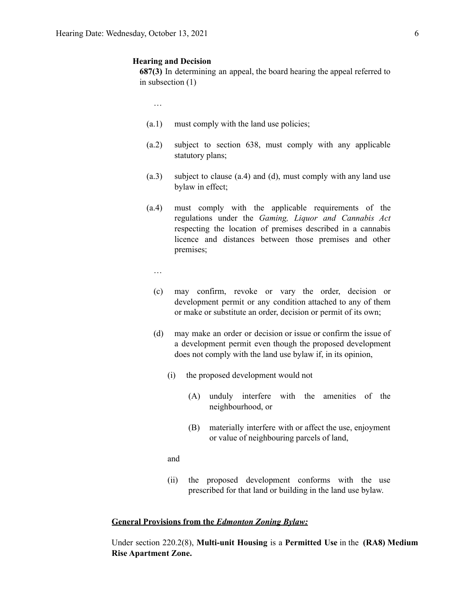#### **Hearing and Decision**

**687(3)** In determining an appeal, the board hearing the appeal referred to in subsection (1)

…

- (a.1) must comply with the land use policies;
- (a.2) subject to section 638, must comply with any applicable statutory plans;
- (a.3) subject to clause (a.4) and (d), must comply with any land use bylaw in effect;
- (a.4) must comply with the applicable requirements of the regulations under the *Gaming, Liquor and Cannabis Act* respecting the location of premises described in a cannabis licence and distances between those premises and other premises;
	- …
	- (c) may confirm, revoke or vary the order, decision or development permit or any condition attached to any of them or make or substitute an order, decision or permit of its own;
	- (d) may make an order or decision or issue or confirm the issue of a development permit even though the proposed development does not comply with the land use bylaw if, in its opinion,
		- (i) the proposed development would not
			- (A) unduly interfere with the amenities of the neighbourhood, or
			- (B) materially interfere with or affect the use, enjoyment or value of neighbouring parcels of land,
		- and
		- (ii) the proposed development conforms with the use prescribed for that land or building in the land use bylaw.

#### **General Provisions from the** *Edmonton Zoning Bylaw:*

Under section 220.2(8), **Multi-unit Housing** is a **Permitted Use** in the **(RA8) Medium Rise Apartment Zone.**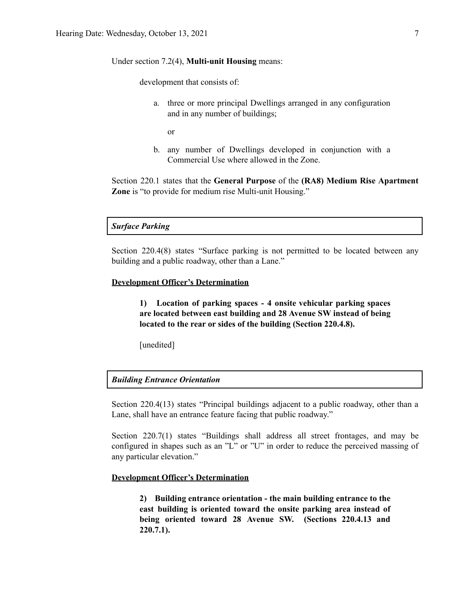#### Under section 7.2(4), **Multi-unit Housing** means:

development that consists of:

a. three or more principal Dwellings arranged in any configuration and in any number of buildings;

or

b. any number of Dwellings developed in conjunction with a Commercial Use where allowed in the Zone.

Section 220.1 states that the **General Purpose** of the **(RA8) Medium Rise Apartment Zone** is "to provide for medium rise Multi-unit Housing."

#### *Surface Parking*

Section 220.4(8) states "Surface parking is not permitted to be located between any building and a public roadway, other than a Lane."

#### **Development Officer's Determination**

**1) Location of parking spaces - 4 onsite vehicular parking spaces are located between east building and 28 Avenue SW instead of being located to the rear or sides of the building (Section 220.4.8).**

[unedited]

### *Building Entrance Orientation*

Section 220.4(13) states "Principal buildings adjacent to a public roadway, other than a Lane, shall have an entrance feature facing that public roadway."

Section 220.7(1) states "Buildings shall address all street frontages, and may be configured in shapes such as an "L" or "U" in order to reduce the perceived massing of any particular elevation."

#### **Development Officer's Determination**

**2) Building entrance orientation - the main building entrance to the east building is oriented toward the onsite parking area instead of being oriented toward 28 Avenue SW. (Sections 220.4.13 and 220.7.1).**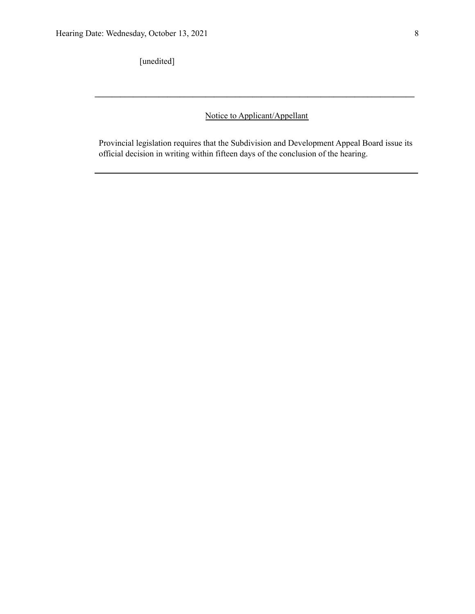[unedited]

Notice to Applicant/Appellant

**\_\_\_\_\_\_\_\_\_\_\_\_\_\_\_\_\_\_\_\_\_\_\_\_\_\_\_\_\_\_\_\_\_\_\_\_\_\_\_\_\_\_\_\_\_\_\_\_\_\_\_\_\_\_\_\_\_\_\_\_\_\_\_\_\_\_\_\_\_\_\_\_\_\_\_**

Provincial legislation requires that the Subdivision and Development Appeal Board issue its official decision in writing within fifteen days of the conclusion of the hearing.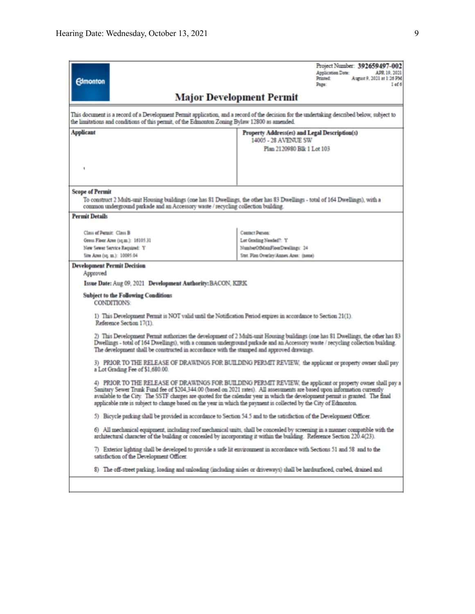Reference Section 17(1).

| <b>Edmonton</b>                                                                                              | Project Number: 392659497-002<br><b>Application Date:</b><br>APR 19, 2021<br>Printed:<br>August 9, 2021 at 1:26 PM<br>1 <sub>of</sub> 6<br>Page: |
|--------------------------------------------------------------------------------------------------------------|--------------------------------------------------------------------------------------------------------------------------------------------------|
|                                                                                                              | <b>Major Development Permit</b>                                                                                                                  |
| the limitations and conditions of this permit, of the Edmonton Zoning Bylaw 12800 as amended.                | This document is a record of a Development Permit application, and a record of the decision for the undertaking described below, subject to      |
| <b>Applicant</b>                                                                                             | Property Address(es) and Legal Description(s)                                                                                                    |
|                                                                                                              | 14005 - 28 AVENUE SW                                                                                                                             |
|                                                                                                              | Plan 2120980 Blk 1 Lot 103                                                                                                                       |
|                                                                                                              |                                                                                                                                                  |
|                                                                                                              |                                                                                                                                                  |
|                                                                                                              |                                                                                                                                                  |
| <b>Scope of Permit</b><br>common underground parkade and an Accessory waste / recycling collection building. | To construct 2 Multi-unit Housing buildings (one has 81 Dwellings, the other has 83 Dwellings - total of 164 Dwellings), with a                  |
| <b>Permit Details</b>                                                                                        |                                                                                                                                                  |
| Class of Permit: Class B                                                                                     | <b>Contact Person:</b>                                                                                                                           |
|                                                                                                              | Lot Grading Needed?: Y                                                                                                                           |
| Gross Floor Area (sq.m.): 16105.31                                                                           | NumberOfMainFloorDwellings: 24                                                                                                                   |
| New Sewer Service Required: Y                                                                                |                                                                                                                                                  |
| Site Area (sq. m.): 10095.04                                                                                 | Stat. Plan Overlay/Annex Area: (none)                                                                                                            |
| <b>Development Permit Decision</b><br>Approved                                                               |                                                                                                                                                  |

2) This Development Permit authorizes the development of 2 Multi-unit Housing buildings (one has 81 Dwellings, the other has 83<br>Dwellings - total of 164 Dwellings), with a common underground parkade and an Accessory waste The development shall be constructed in accordance with the stamped and approved drawings.

3) PRIOR TO THE RELEASE OF DRAWINGS FOR BUILDING PERMIT REVIEW, the applicant or property owner shall pay a Lot Grading Fee of \$1,680.00.

4) PRIOR TO THE RELEASE OF DRAWINGS FOR BUILDING PERMIT REVIEW, the applicant or property owner shall pay a Sanitary Sewer Trunk Fund fee of \$204,344.00 (based on 2021 rates). All assessments are based upon information currently available to the City. The SSTF charges are quoted for the calendar year in which the development permit is granted. The final applicable rate is subject to change based on the year in which the payment is collected by the City of Edmonton.

5) Bicycle parking shall be provided in accordance to Section 54.5 and to the satisfaction of the Development Officer.

6) All mechanical equipment, including roof mechanical units, shall be concealed by screening in a manner compatible with the architectural character of the building or concealed by incorporating it within the building. Reference Section 220.4(23).

7) Exterior lighting shall be developed to provide a safe lit environment in accordance with Sections 51 and 58 and to the satisfaction of the Development Officer.

8) The off-street parking, loading and unloading (including aisles or driveways) shall be hardsurfaced, curbed, drained and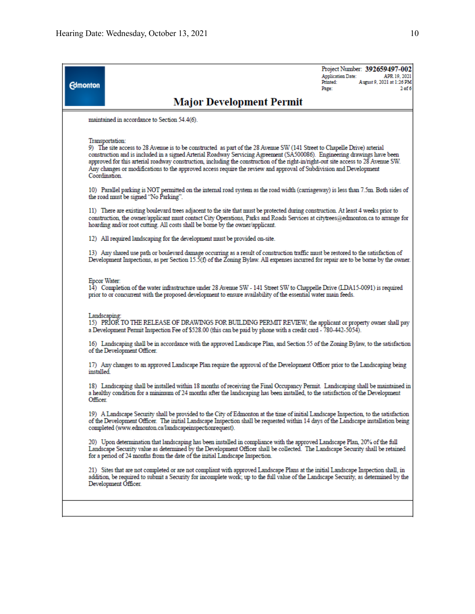| <b>Edmonton</b> |                                                                                                                                                                                                                                                                                                                                                                                                                                                                                                                                                      | <b>Application Date:</b><br>Printed:<br>Page: | Project Number: 392659497-002<br>APR 19, 2021<br>August 9, 2021 at 1:26 PM<br>2 <sub>of</sub> 6 |
|-----------------|------------------------------------------------------------------------------------------------------------------------------------------------------------------------------------------------------------------------------------------------------------------------------------------------------------------------------------------------------------------------------------------------------------------------------------------------------------------------------------------------------------------------------------------------------|-----------------------------------------------|-------------------------------------------------------------------------------------------------|
|                 | <b>Major Development Permit</b>                                                                                                                                                                                                                                                                                                                                                                                                                                                                                                                      |                                               |                                                                                                 |
|                 | maintained in accordance to Section 54.4(6).                                                                                                                                                                                                                                                                                                                                                                                                                                                                                                         |                                               |                                                                                                 |
|                 | Transportation:<br>9) The site access to 28 Avenue is to be constructed as part of the 28 Avenue SW (141 Street to Chapelle Drive) arterial<br>construction and is included in a signed Arterial Roadway Servicing Agreement (SA500086). Engineering drawings have been<br>approved for this arterial roadway construction, including the construction of the right-in/right-out site access to 28 Avenue SW.<br>Any changes or modifications to the approved access require the review and approval of Subdivision and Development<br>Coordination. |                                               |                                                                                                 |
|                 | 10) Parallel parking is NOT permitted on the internal road system as the road width (carriageway) is less than 7.5m. Both sides of<br>the road must be signed "No Parking".                                                                                                                                                                                                                                                                                                                                                                          |                                               |                                                                                                 |
|                 | 11) There are existing boulevard trees adjacent to the site that must be protected during construction. At least 4 weeks prior to<br>construction, the owner/applicant must contact City Operations, Parks and Roads Services at citytrees@edmonton.ca to arrange for<br>hoarding and/or root cutting. All costs shall be borne by the owner/applicant.                                                                                                                                                                                              |                                               |                                                                                                 |
|                 | 12) All required landscaping for the development must be provided on-site.                                                                                                                                                                                                                                                                                                                                                                                                                                                                           |                                               |                                                                                                 |
|                 | 13) Any shared use path or boulevard damage occurring as a result of construction traffic must be restored to the satisfaction of<br>Development Inspections, as per Section 15.5(f) of the Zoning Bylaw. All expenses incurred for repair are to be borne by the owner.                                                                                                                                                                                                                                                                             |                                               |                                                                                                 |
| Epcor Water:    | 14) Completion of the water infrastructure under 28 Avenue SW - 141 Street SW to Chappelle Drive (LDA15-0091) is required<br>prior to or concurrent with the proposed development to ensure availability of the essential water main feeds.                                                                                                                                                                                                                                                                                                          |                                               |                                                                                                 |
|                 | Landscaping:<br>15) PRIOR TO THE RELEASE OF DRAWINGS FOR BUILDING PERMIT REVIEW, the applicant or property owner shall pay<br>a Development Permit Inspection Fee of \$528.00 (this can be paid by phone with a credit card - 780-442-5054).                                                                                                                                                                                                                                                                                                         |                                               |                                                                                                 |
|                 | 16) Landscaping shall be in accordance with the approved Landscape Plan, and Section 55 of the Zoning Bylaw, to the satisfaction<br>of the Development Officer.                                                                                                                                                                                                                                                                                                                                                                                      |                                               |                                                                                                 |
| installed.      | 17) Any changes to an approved Landscape Plan require the approval of the Development Officer prior to the Landscaping being                                                                                                                                                                                                                                                                                                                                                                                                                         |                                               |                                                                                                 |
| Officer.        | 18) Landscaping shall be installed within 18 months of receiving the Final Occupancy Permit. Landscaping shall be maintained in<br>a healthy condition for a minimum of 24 months after the landscaping has been installed, to the satisfaction of the Development                                                                                                                                                                                                                                                                                   |                                               |                                                                                                 |
|                 | 19) A Landscape Security shall be provided to the City of Edmonton at the time of initial Landscape Inspection, to the satisfaction<br>of the Development Officer. The initial Landscape Inspection shall be requested within 14 days of the Landscape installation being<br>completed (www.edmonton.ca/landscapeinspectionrequest).                                                                                                                                                                                                                 |                                               |                                                                                                 |
|                 | 20) Upon determination that landscaping has been installed in compliance with the approved Landscape Plan, 20% of the full<br>Landscape Security value as determined by the Development Officer shall be collected. The Landscape Security shall be retained<br>for a period of 24 months from the date of the mitial Landscape Inspection.                                                                                                                                                                                                          |                                               |                                                                                                 |
|                 | 21) Sites that are not completed or are not compliant with approved Landscape Plans at the initial Landscape Inspection shall, in<br>addition, be required to submit a Security for incomplete work; up to the full value of the Landscape Security, as determined by the<br>Development Officer.                                                                                                                                                                                                                                                    |                                               |                                                                                                 |
|                 |                                                                                                                                                                                                                                                                                                                                                                                                                                                                                                                                                      |                                               |                                                                                                 |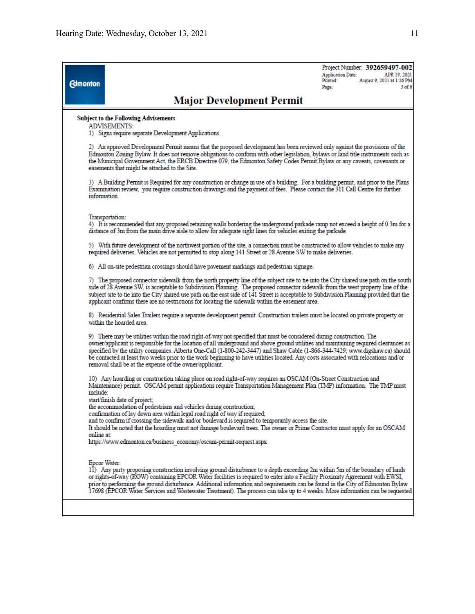| <b>Edmonton</b> |                                                                                                                                                                                                                                                                                                                                                                                                                                                                                                                                                                                                 | Project Number: 392659497-002<br><b>Application Date:</b><br>APR 19, 2021<br>August 9, 2021 at 1:26 PM<br>Printed:<br>$3$ of $6$<br>Page: |  |  |  |  |
|-----------------|-------------------------------------------------------------------------------------------------------------------------------------------------------------------------------------------------------------------------------------------------------------------------------------------------------------------------------------------------------------------------------------------------------------------------------------------------------------------------------------------------------------------------------------------------------------------------------------------------|-------------------------------------------------------------------------------------------------------------------------------------------|--|--|--|--|
|                 | <b>Major Development Permit</b>                                                                                                                                                                                                                                                                                                                                                                                                                                                                                                                                                                 |                                                                                                                                           |  |  |  |  |
|                 | <b>Subject to the Following Advisements</b><br>ADVISEMENTS:<br>1) Signs require separate Development Applications.                                                                                                                                                                                                                                                                                                                                                                                                                                                                              |                                                                                                                                           |  |  |  |  |
|                 | 2) An approved Development Permit means that the proposed development has been reviewed only against the provisions of the<br>Edmonton Zoning Bylaw. It does not remove obligations to conform with other legislation, bylaws or land title instruments such as<br>the Municipal Government Act, the ERCB Directive 079, the Edmonton Safety Codes Permit Bylaw or any caveats, covenants or<br>easements that might be attached to the Site.                                                                                                                                                   |                                                                                                                                           |  |  |  |  |
|                 | 3) A Building Permit is Required for any construction or change in use of a building. For a building permit, and prior to the Plans<br>Examination review, you require construction drawings and the payment of fees. Please contact the 311 Call Centre for further<br>information.                                                                                                                                                                                                                                                                                                            |                                                                                                                                           |  |  |  |  |
|                 | Transportation:<br>4) It is recommended that any proposed retaining walls bordering the underground parkade ramp not exceed a height of 0.3m for a<br>distance of 3m from the main drive aisle to allow for adequate sight lines for vehicles exiting the parkade.                                                                                                                                                                                                                                                                                                                              |                                                                                                                                           |  |  |  |  |
|                 | 5) With future development of the northwest portion of the site, a connection must be constructed to allow vehicles to make any<br>required deliveries. Vehicles are not permitted to stop along 141 Street or 28 Avenue SW to make deliveries.                                                                                                                                                                                                                                                                                                                                                 |                                                                                                                                           |  |  |  |  |
|                 | 6) All on-site pedestrian crossings should have pavement markings and pedestrian signage.                                                                                                                                                                                                                                                                                                                                                                                                                                                                                                       |                                                                                                                                           |  |  |  |  |
|                 | 7) The proposed connector sidewalk from the north property line of the subject site to tie into the City shared use path on the south<br>side of 28 Avenue SW, is acceptable to Subdivision Planning. The proposed connector sidewalk from the west property line of the<br>subject site to tie into the City shared use path on the east side of 141 Street is acceptable to Subdivision Planning provided that the<br>applicant confirms there are no restrictions for locating the sidewalk within the easement area.                                                                        |                                                                                                                                           |  |  |  |  |
|                 | 8) Residential Sales Trailers require a separate development permit. Construction trailers must be located on private property or<br>within the hoarded area.                                                                                                                                                                                                                                                                                                                                                                                                                                   |                                                                                                                                           |  |  |  |  |
|                 | 9) There may be utilities within the road right-of-way not specified that must be considered during construction. The<br>owner/applicant is responsible for the location of all underground and above ground utilities and maintaining required clearances as<br>specified by the utility companies. Alberta One-Call (1-800-242-3447) and Shaw Cable (1-866-344-7429; www.digshaw.ca) should<br>be contacted at least two weeks prior to the work beginning to have utilities located. Any costs associated with relocations and/or<br>removal shall be at the expense of the owner/applicant. |                                                                                                                                           |  |  |  |  |
| include:        | 10) Any hoarding or construction taking place on road right-of-way requires an OSCAM (On-Street Construction and<br>Maintenance) permit. OSCAM permit applications require Transportation Management Plan (TMP) information. The TMP must                                                                                                                                                                                                                                                                                                                                                       |                                                                                                                                           |  |  |  |  |
| online at:      | start/finish date of project;<br>the accommodation of pedestrians and vehicles during construction;<br>confirmation of lay down area within legal road right of way if required;<br>and to confirm if crossing the sidewalk and/or boulevard is required to temporarily access the site.<br>It should be noted that the hoarding must not damage boulevard trees. The owner or Prime Contractor must apply for an OSCAM                                                                                                                                                                         |                                                                                                                                           |  |  |  |  |
|                 | https://www.edmonton.ca/business_economy/oscam-permit-request.aspx                                                                                                                                                                                                                                                                                                                                                                                                                                                                                                                              |                                                                                                                                           |  |  |  |  |
| Epcor Water:    | 11) Any party proposing construction involving ground disturbance to a depth exceeding 2m within 5m of the boundary of lands<br>or rights-of-way (ROW) containing EPCOR Water facilities is required to enter into a Facility Proximity Agreement with EWSI,<br>prior to performing the ground disturbance. Additional information and requirements can be found in the City of Edmonton Bylaw<br>17698 (EPCOR Water Services and Wastewater Treatment). The process can take up to 4 weeks. More information can be requested                                                                  |                                                                                                                                           |  |  |  |  |
|                 |                                                                                                                                                                                                                                                                                                                                                                                                                                                                                                                                                                                                 |                                                                                                                                           |  |  |  |  |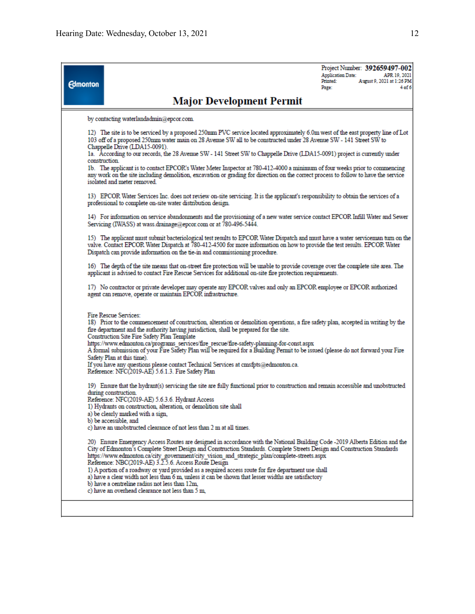**Edmonton** 

Project Number: 392659497-002 **Application Date:** APR 19, 2021 August 9, 2021 at 1:26 PM Printed: Page: 4 of 6

## **Major Development Permit**

by contacting waterlandadmin@epcor.com.

12) The site is to be serviced by a proposed 250mm PVC service located approximately 6.0m west of the east property line of Lot 103 off of a proposed 250mm water main on 28 Avenue SW all to be constructed under 28 Avenue SW - 141 Street SW to Chappelle Drive (LDA15-0091).

1a. According to our records, the 28 Avenue SW - 141 Street SW to Chappelle Drive (LDA15-0091) project is currently under construction.

1b. The applicant is to contact EPCOR's Water Meter Inspector at 780-412-4000 a minimum of four weeks prior to commencing any work on the site including demolition, excavation or grading for direction on the correct process to follow to have the service isolated and meter removed.

13) EPCOR Water Services Inc. does not review on-site servicing. It is the applicant's responsibility to obtain the services of a professional to complete on-site water distribution design.

14) For information on service abandonments and the provisioning of a new water service contact EPCOR Infill Water and Sewer Servicing (IWASS) at wass.drainage@epcor.com or at 780-496-5444.

15) The applicant must submit bacteriological test results to EPCOR Water Dispatch and must have a water serviceman turn on the valve. Contact EPCOR Water Dispatch at 780-412-4500 for more information on how to provide the Dispatch can provide information on the tie-in and commissioning procedure.

16) The depth of the site means that on-street fire protection will be unable to provide coverage over the complete site area. The applicant is advised to contact Fire Rescue Services for additional on-site fire protection requirements.

17) No contractor or private developer may operate any EPCOR valves and only an EPCOR employee or EPCOR authorized agent can remove, operate or maintain EPCOR infrastructure.

Fire Rescue Services:

18) Prior to the commencement of construction, alteration or demolition operations, a fire safety plan, accepted in writing by the fire department and the authority having jurisdiction, shall be prepared for the site.

Construction Site Fire Safety Plan Template

https://www.edmonton.ca/programs services/fire rescue/fire-safety-planning-for-const.aspx

A formal submission of your Fire Safety Plan will be required for a Building Permit to be issued (please do not forward your Fire Safety Plan at this time).

If you have any questions please contact Technical Services at cmsfpts@edmonton.ca. Reference: NFC(2019-AE) 5.6.1.3. Fire Safety Plan

19) Ensure that the hydrant(s) servicing the site are fully functional prior to construction and remain accessible and unobstructed during construction.

Reference: NFC(2019-AE) 5.6.3.6. Hydrant Access

1) Hydrants on construction, alteration, or demolition site shall

a) be clearly marked with a sign,

b) be accessible, and

c) have an unobstructed clearance of not less than 2 m at all times.

20) Ensure Emergency Access Routes are designed in accordance with the National Building Code -2019 Alberta Edition and the City of Edmonton's Complete Street Design and Construction Standards. Complete Streets Design and Construction Standards https://www.edmonton.ca/city\_government/city\_vision\_and\_strategic\_plan/complete-streets.aspx<br>Reference: NBC(2019-AE) 3.2.5.6. Access Route Design

1) A portion of a roadway or yard provided as a required access route for fire department use shall

a) have a clear width not less than 6 m, unless it can be shown that lesser widths are satisfactory

b) have a centreline radius not less than 12m.

c) have an overhead clearance not less than 5 m,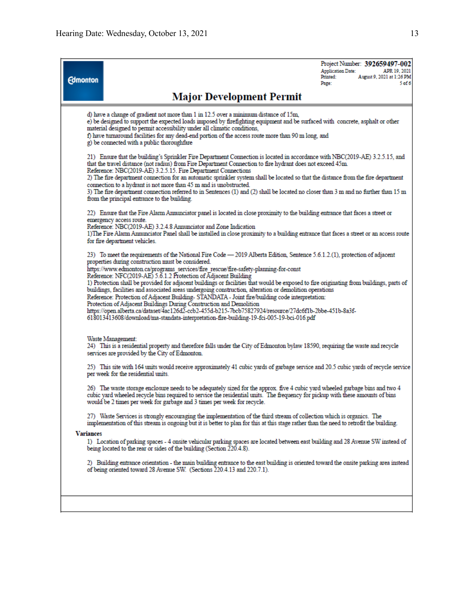| <b>Edmonton</b>                                                                                                                                                                                                                                                                                                                                                                                                                                                                                                                                                                                                                                                                                                                                                                                                                                                                                                                                                                   | <b>Major Development Permit</b>                                                                                                                                                                                                                                                                                                                                                                                                                                                                                                                                                                                                                                                                                | <b>Application Date:</b><br>Printed:<br>Page: | Project Number: 392659497-002<br>APR 19, 2021<br>August 9, 2021 at 1:26 PM<br>5 <sub>of</sub> 6 |  |  |
|-----------------------------------------------------------------------------------------------------------------------------------------------------------------------------------------------------------------------------------------------------------------------------------------------------------------------------------------------------------------------------------------------------------------------------------------------------------------------------------------------------------------------------------------------------------------------------------------------------------------------------------------------------------------------------------------------------------------------------------------------------------------------------------------------------------------------------------------------------------------------------------------------------------------------------------------------------------------------------------|----------------------------------------------------------------------------------------------------------------------------------------------------------------------------------------------------------------------------------------------------------------------------------------------------------------------------------------------------------------------------------------------------------------------------------------------------------------------------------------------------------------------------------------------------------------------------------------------------------------------------------------------------------------------------------------------------------------|-----------------------------------------------|-------------------------------------------------------------------------------------------------|--|--|
|                                                                                                                                                                                                                                                                                                                                                                                                                                                                                                                                                                                                                                                                                                                                                                                                                                                                                                                                                                                   | d) have a change of gradient not more than 1 in 12.5 over a minimum distance of 15m.<br>e) be designed to support the expected loads imposed by firefighting equipment and be surfaced with concrete, asphalt or other<br>material designed to permit accessibility under all climatic conditions,<br>f) have turnaround facilities for any dead-end portion of the access route more than 90 m long, and<br>g) be connected with a public thoroughfare                                                                                                                                                                                                                                                        |                                               |                                                                                                 |  |  |
|                                                                                                                                                                                                                                                                                                                                                                                                                                                                                                                                                                                                                                                                                                                                                                                                                                                                                                                                                                                   | 21. Ensure that the building's Sprinkler Fire Department Connection is located in accordance with NBC(2019-AE) 3.2.5.15, and<br>that the travel distance (not radius) from Fire Department Connection to fire hydrant does not exceed 45m.<br>Reference: NBC(2019-AE) 3.2.5.15. Fire Department Connections<br>2) The fire department connection for an automatic sprinkler system shall be located so that the distance from the fire department<br>connection to a hydrant is not more than 45 m and is unobstructed.<br>3) The fire department connection referred to in Sentences (1) and (2) shall be located no closer than 3 m and no further than 15 m<br>from the principal entrance to the building. |                                               |                                                                                                 |  |  |
|                                                                                                                                                                                                                                                                                                                                                                                                                                                                                                                                                                                                                                                                                                                                                                                                                                                                                                                                                                                   | 22) Ensure that the Fire Alarm Annunciator panel is located in close proximity to the building entrance that faces a street or<br>emergency access route.<br>Reference: NBC(2019-AE) 3.2.4.8 Annunciator and Zone Indication<br>1) The Fire Alarm Annunciator Panel shall be installed in close proximity to a building entrance that faces a street or an access route<br>for fire department vehicles.                                                                                                                                                                                                                                                                                                       |                                               |                                                                                                 |  |  |
| 23) To meet the requirements of the National Fire Code — 2019 Alberta Edition, Sentence 5.6.1.2.(1), protection of adjacent<br>properties during construction must be considered.<br>https://www.edmonton.ca/programs_services/fire_rescue/fire-safety-planning-for-const<br>Reference: NFC(2019-AE) 5.6.1.2 Protection of Adjacent Building<br>1) Protection shall be provided for adjacent buildings or facilities that would be exposed to fire originating from buildings, parts of<br>buildings, facilities and associated areas undergoing construction, alteration or demolition operations<br>Reference: Protection of Adjacent Building-STANDATA - Joint fire/building code interpretation:<br>Protection of Adjacent Buildings During Construction and Demolition<br>https://open.alberta.ca/dataset/4ac126d2-ccb2-455d-b215-7bcb75827924/resource/27dc6f1b-2bbe-451b-8a3f-<br>618013413608/download/ma-standata-interpretation-fire-building-19-fci-005-19-bci-016.pdf |                                                                                                                                                                                                                                                                                                                                                                                                                                                                                                                                                                                                                                                                                                                |                                               |                                                                                                 |  |  |
|                                                                                                                                                                                                                                                                                                                                                                                                                                                                                                                                                                                                                                                                                                                                                                                                                                                                                                                                                                                   | Waste Management:<br>24) This is a residential property and therefore falls under the City of Edmonton bylaw 18590, requiring the waste and recycle<br>services are provided by the City of Edmonton.                                                                                                                                                                                                                                                                                                                                                                                                                                                                                                          |                                               |                                                                                                 |  |  |
|                                                                                                                                                                                                                                                                                                                                                                                                                                                                                                                                                                                                                                                                                                                                                                                                                                                                                                                                                                                   | 25) This site with 164 units would receive approximately 41 cubic yards of garbage service and 20.5 cubic yards of recycle service<br>per week for the residential units.<br>26) The waste storage enclosure needs to be adequately sized for the approx. five 4 cubic yard wheeled garbage bins and two 4<br>cubic yard wheeled recycle bins required to service the residential units. The frequency for pickup with these amounts of bins<br>would be 2 times per week for garbage and 3 times per week for recycle.                                                                                                                                                                                        |                                               |                                                                                                 |  |  |
|                                                                                                                                                                                                                                                                                                                                                                                                                                                                                                                                                                                                                                                                                                                                                                                                                                                                                                                                                                                   | 27) Waste Services is strongly encouraging the implementation of the third stream of collection which is organics. The<br>implementation of this stream is ongoing but it is better to plan for this at this stage rather than the need to retrofit the building.                                                                                                                                                                                                                                                                                                                                                                                                                                              |                                               |                                                                                                 |  |  |
| <b>Variances</b>                                                                                                                                                                                                                                                                                                                                                                                                                                                                                                                                                                                                                                                                                                                                                                                                                                                                                                                                                                  | 1) Location of parking spaces - 4 onsite vehicular parking spaces are located between east building and 28 Avenue SW instead of<br>being located to the rear or sides of the building (Section 220.4.8).                                                                                                                                                                                                                                                                                                                                                                                                                                                                                                       |                                               |                                                                                                 |  |  |
|                                                                                                                                                                                                                                                                                                                                                                                                                                                                                                                                                                                                                                                                                                                                                                                                                                                                                                                                                                                   | 2) Building entrance orientation - the main building entrance to the east building is oriented toward the onsite parking area instead<br>of being oriented toward 28 Avenue SW. (Sections 220.4.13 and 220.7.1).                                                                                                                                                                                                                                                                                                                                                                                                                                                                                               |                                               |                                                                                                 |  |  |
|                                                                                                                                                                                                                                                                                                                                                                                                                                                                                                                                                                                                                                                                                                                                                                                                                                                                                                                                                                                   |                                                                                                                                                                                                                                                                                                                                                                                                                                                                                                                                                                                                                                                                                                                |                                               |                                                                                                 |  |  |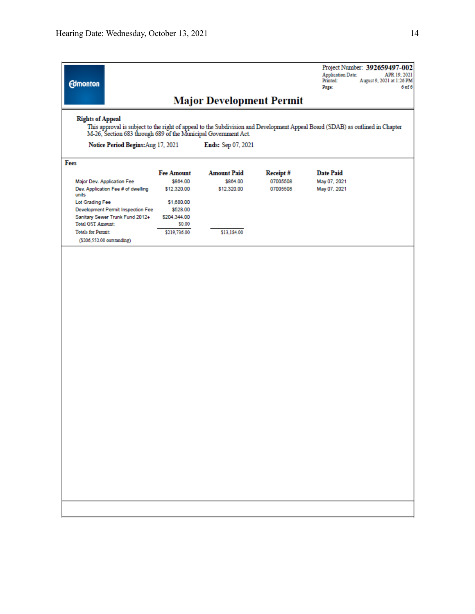| <b>Edmonton</b>                                                                                                                                                                                                            |                                              |                                               |                                  | <b>Application Date:</b><br>Printed:<br>Page:    | Project Number: 392659497-002<br>APR 19, 2021<br>August 9, 2021 at 1:26 PM<br>6 <sub>of</sub> 6 |  |
|----------------------------------------------------------------------------------------------------------------------------------------------------------------------------------------------------------------------------|----------------------------------------------|-----------------------------------------------|----------------------------------|--------------------------------------------------|-------------------------------------------------------------------------------------------------|--|
|                                                                                                                                                                                                                            |                                              | <b>Major Development Permit</b>               |                                  |                                                  |                                                                                                 |  |
| <b>Rights of Appeal</b><br>This approval is subject to the right of appeal to the Subdivision and Development Appeal Board (SDAB) as outlined in Chapter<br>M-26, Section 683 through 689 of the Municipal Government Act. |                                              |                                               |                                  |                                                  |                                                                                                 |  |
| Notice Period Begins: Aug 17, 2021                                                                                                                                                                                         |                                              | Ends: Sep 07, 2021                            |                                  |                                                  |                                                                                                 |  |
| Fees                                                                                                                                                                                                                       |                                              |                                               |                                  |                                                  |                                                                                                 |  |
| Major Dev. Application Fee<br>Dev. Application Fee # of dwelling<br>units                                                                                                                                                  | <b>Fee Amount</b><br>\$864.00<br>\$12,320.00 | <b>Amount Paid</b><br>\$864.00<br>\$12,320.00 | Receipt#<br>07005508<br>07005508 | <b>Date Paid</b><br>May 07, 2021<br>May 07, 2021 |                                                                                                 |  |
| Lot Grading Fee<br>Development Permit Inspection Fee<br>Sanitary Sewer Trunk Fund 2012+                                                                                                                                    | \$1,680.00<br>\$528.00<br>\$204,344.00       |                                               |                                  |                                                  |                                                                                                 |  |
| <b>Total GST Amount:</b><br><b>Totals for Permit:</b><br>(\$206,552.00 outstanding)                                                                                                                                        | \$0.00<br>\$219,736.00                       | \$13,184.00                                   |                                  |                                                  |                                                                                                 |  |
|                                                                                                                                                                                                                            |                                              |                                               |                                  |                                                  |                                                                                                 |  |
|                                                                                                                                                                                                                            |                                              |                                               |                                  |                                                  |                                                                                                 |  |
|                                                                                                                                                                                                                            |                                              |                                               |                                  |                                                  |                                                                                                 |  |
|                                                                                                                                                                                                                            |                                              |                                               |                                  |                                                  |                                                                                                 |  |
|                                                                                                                                                                                                                            |                                              |                                               |                                  |                                                  |                                                                                                 |  |
|                                                                                                                                                                                                                            |                                              |                                               |                                  |                                                  |                                                                                                 |  |
|                                                                                                                                                                                                                            |                                              |                                               |                                  |                                                  |                                                                                                 |  |
|                                                                                                                                                                                                                            |                                              |                                               |                                  |                                                  |                                                                                                 |  |
|                                                                                                                                                                                                                            |                                              |                                               |                                  |                                                  |                                                                                                 |  |
|                                                                                                                                                                                                                            |                                              |                                               |                                  |                                                  |                                                                                                 |  |
|                                                                                                                                                                                                                            |                                              |                                               |                                  |                                                  |                                                                                                 |  |
|                                                                                                                                                                                                                            |                                              |                                               |                                  |                                                  |                                                                                                 |  |
|                                                                                                                                                                                                                            |                                              |                                               |                                  |                                                  |                                                                                                 |  |
|                                                                                                                                                                                                                            |                                              |                                               |                                  |                                                  |                                                                                                 |  |
|                                                                                                                                                                                                                            |                                              |                                               |                                  |                                                  |                                                                                                 |  |
|                                                                                                                                                                                                                            |                                              |                                               |                                  |                                                  |                                                                                                 |  |
|                                                                                                                                                                                                                            |                                              |                                               |                                  |                                                  |                                                                                                 |  |